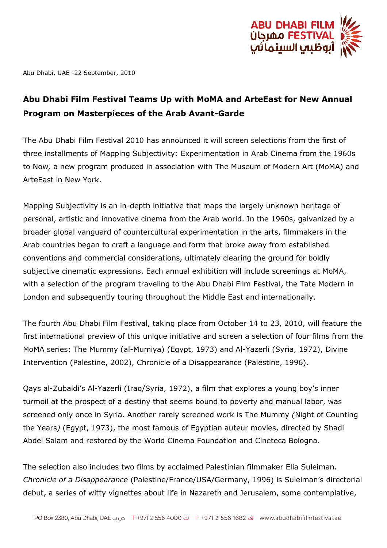

Abu Dhabi, UAE -22 September, 2010

## **Abu Dhabi Film Festival Teams Up with MoMA and ArteEast for New Annual Program on Masterpieces of the Arab Avant-Garde**

The Abu Dhabi Film Festival 2010 has announced it will screen selections from the first of three installments of Mapping Subjectivity: Experimentation in Arab Cinema from the 1960s to Now*,* a new program produced in association with The Museum of Modern Art (MoMA) and ArteEast in New York.

Mapping Subjectivity is an in-depth initiative that maps the largely unknown heritage of personal, artistic and innovative cinema from the Arab world. In the 1960s, galvanized by a broader global vanguard of countercultural experimentation in the arts, filmmakers in the Arab countries began to craft a language and form that broke away from established conventions and commercial considerations, ultimately clearing the ground for boldly subjective cinematic expressions. Each annual exhibition will include screenings at MoMA, with a selection of the program traveling to the Abu Dhabi Film Festival, the Tate Modern in London and subsequently touring throughout the Middle East and internationally.

The fourth Abu Dhabi Film Festival, taking place from October 14 to 23, 2010, will feature the first international preview of this unique initiative and screen a selection of four films from the MoMA series: The Mummy (al-Mumiya) (Egypt, 1973) and Al-Yazerli (Syria, 1972), Divine Intervention (Palestine, 2002), Chronicle of a Disappearance (Palestine, 1996).

Qays al-Zubaidi's Al-Yazerli (Iraq/Syria, 1972), a film that explores a young boy's inner turmoil at the prospect of a destiny that seems bound to poverty and manual labor, was screened only once in Syria. Another rarely screened work is The Mummy *(*Night of Counting the Years*)* (Egypt, 1973), the most famous of Egyptian auteur movies, directed by Shadi Abdel Salam and restored by the World Cinema Foundation and Cineteca Bologna.

The selection also includes two films by acclaimed Palestinian filmmaker Elia Suleiman. *Chronicle of a Disappearance* (Palestine/France/USA/Germany, 1996) is Suleiman's directorial debut, a series of witty vignettes about life in Nazareth and Jerusalem, some contemplative,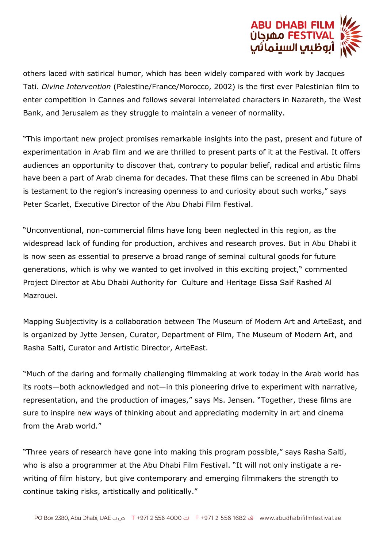

others laced with satirical humor, which has been widely compared with work by Jacques Tati. *Divine Intervention* (Palestine/France/Morocco, 2002) is the first ever Palestinian film to enter competition in Cannes and follows several interrelated characters in Nazareth, the West Bank, and Jerusalem as they struggle to maintain a veneer of normality.

"This important new project promises remarkable insights into the past, present and future of experimentation in Arab film and we are thrilled to present parts of it at the Festival. It offers audiences an opportunity to discover that, contrary to popular belief, radical and artistic films have been a part of Arab cinema for decades. That these films can be screened in Abu Dhabi is testament to the region's increasing openness to and curiosity about such works," says Peter Scarlet, Executive Director of the Abu Dhabi Film Festival.

"Unconventional, non-commercial films have long been neglected in this region, as the widespread lack of funding for production, archives and research proves. But in Abu Dhabi it is now seen as essential to preserve a broad range of seminal cultural goods for future generations, which is why we wanted to get involved in this exciting project," commented Project Director at Abu Dhabi Authority for Culture and Heritage Eissa Saif Rashed Al Mazrouei.

Mapping Subjectivity is a collaboration between The Museum of Modern Art and ArteEast, and is organized by Jytte Jensen, Curator, Department of Film, The Museum of Modern Art, and Rasha Salti, Curator and Artistic Director, ArteEast.

"Much of the daring and formally challenging filmmaking at work today in the Arab world has its roots—both acknowledged and not—in this pioneering drive to experiment with narrative, representation, and the production of images," says Ms. Jensen. "Together, these films are sure to inspire new ways of thinking about and appreciating modernity in art and cinema from the Arab world."

"Three years of research have gone into making this program possible," says Rasha Salti, who is also a programmer at the Abu Dhabi Film Festival. "It will not only instigate a rewriting of film history, but give contemporary and emerging filmmakers the strength to continue taking risks, artistically and politically."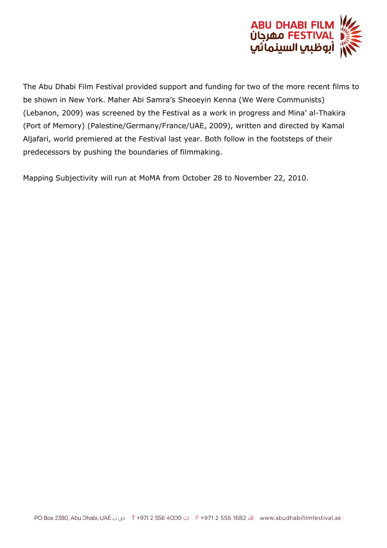

The Abu Dhabi Film Festival provided support and funding for two of the more recent films to be shown in New York. Maher Abi Samra's Sheoeyin Kenna (We Were Communists) (Lebanon, 2009) was screened by the Festival as a work in progress and Mina' al-Thakira (Port of Memory) (Palestine/Germany/France/UAE, 2009), written and directed by Kamal Aljafari, world premiered at the Festival last year. Both follow in the footsteps of their predecessors by pushing the boundaries of filmmaking.

Mapping Subjectivity will run at MoMA from October 28 to November 22, 2010.